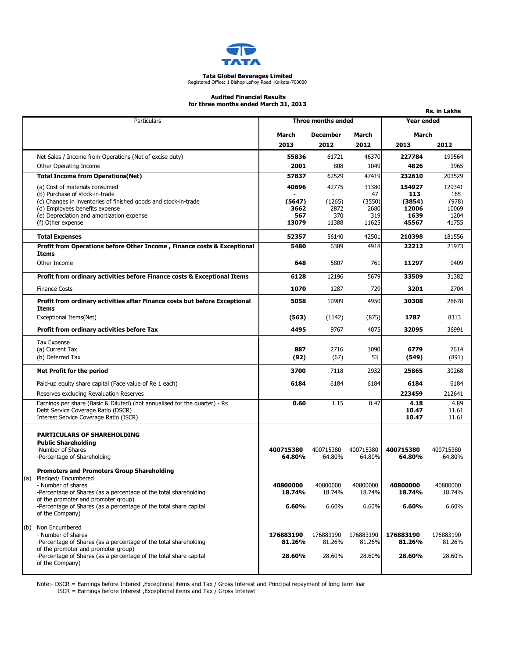

## Tata Global Beverages Limited Registered Office: 1 Bishop Lefroy Road Kolkata-700020

#### Audited Financial Results for three months ended March 31, 2013

|                                                                                                         |                    |                          |              |                | Rs. in Lakhs   |
|---------------------------------------------------------------------------------------------------------|--------------------|--------------------------|--------------|----------------|----------------|
| Particulars                                                                                             | Three months ended |                          |              | Year ended     |                |
|                                                                                                         | March              | <b>December</b><br>March |              | March          |                |
|                                                                                                         | 2013               | 2012                     | 2012         | 2013           | 2012           |
| Net Sales / Income from Operations (Net of excise duty)                                                 | 55836              | 61721                    | 46370        | 227784         | 199564         |
| Other Operating Income                                                                                  | 2001               | 808                      | 1049         | 4826           | 3965           |
| <b>Total Income from Operations(Net)</b>                                                                | 57837              | 62529                    | 47419        | 232610         | 203529         |
| (a) Cost of materials consumed                                                                          | 40696              | 42775                    | 31380        | 154927         | 129341         |
| (b) Purchase of stock-in-trade<br>(c) Changes in inventories of finished goods and stock-in-trade       | (5647)             | (1265)                   | 47<br>(3550) | 113<br>(3854)  | 165<br>(978)   |
| (d) Employees benefits expense                                                                          | 3662               | 2872                     | 2680         | 12006          | 10069          |
| (e) Depreciation and amortization expense<br>(f) Other expense                                          | 567<br>13079       | 370<br>11388             | 319<br>11625 | 1639<br>45567  | 1204<br>41755  |
|                                                                                                         |                    |                          |              |                |                |
| <b>Total Expenses</b>                                                                                   | 52357              | 56140                    | 42501        | 210398         | 181556         |
| Profit from Operations before Other Income, Finance costs & Exceptional<br>Items                        | 5480               | 6389                     | 4918         | 22212          | 21973          |
| Other Income                                                                                            | 648                | 5807                     | 761          | 11297          | 9409           |
| Profit from ordinary activities before Finance costs & Exceptional Items                                | 6128               | 12196                    | 5679         | 33509          | 31382          |
| <b>Finance Costs</b>                                                                                    | 1070               | 1287                     | 729          | 3201           | 2704           |
| Profit from ordinary activities after Finance costs but before Exceptional<br>Items                     | 5058               | 10909                    | 4950         | 30308          | 28678          |
| Exceptional Items(Net)                                                                                  | (563)              | (1142)                   | (875)        | 1787           | 8313           |
| Profit from ordinary activities before Tax                                                              | 4495               | 9767                     | 4075         | 32095          | 36991          |
| <b>Tax Expense</b>                                                                                      | 887                | 2716                     |              | 6779           | 7614           |
| (a) Current Tax<br>(b) Deferred Tax                                                                     | (92)               | (67)                     | 1090<br>53   | (549)          | (891)          |
| Net Profit for the period                                                                               | 3700               | 7118                     | 2932         | 25865          | 30268          |
|                                                                                                         | 6184               | 6184                     |              |                |                |
| Paid-up equity share capital (Face value of Re 1 each)<br>Reserves excluding Revaluation Reserves       |                    |                          | 6184         | 6184<br>223459 | 6184<br>212641 |
| Earnings per share (Basic & Diluted) (not annualised for the quarter) - Rs                              | 0.60               | 1.15                     | 0.47         | 4.18           | 4.89           |
| Debt Service Coverage Ratio (DSCR)                                                                      |                    |                          |              | 10.47          | 11.61          |
| Interest Service Coverage Ratio (ISCR)                                                                  |                    |                          |              | 10.47          | 11.61          |
| <b>PARTICULARS OF SHAREHOLDING</b>                                                                      |                    |                          |              |                |                |
| <b>Public Shareholding</b>                                                                              |                    |                          |              |                |                |
| -Number of Shares                                                                                       | 400715380          | 400715380                | 400715380    | 400715380      | 400715380      |
| -Percentage of Shareholding                                                                             | 64.80%             | 64.80%                   | 64.80%       | 64.80%         | 64.80%         |
| <b>Promoters and Promoters Group Shareholding</b>                                                       |                    |                          |              |                |                |
| (a) Pledged/Encumbered<br>- Number of shares                                                            | 40800000           | 40800000                 | 40800000     | 40800000       | 40800000       |
| -Percentage of Shares (as a percentage of the total shareholding                                        | 18.74%             | 18.74%                   | 18.74%       | 18.74%         | 18.74%         |
| of the promoter and promoter group)                                                                     |                    |                          |              |                |                |
| -Percentage of Shares (as a percentage of the total share capital<br>of the Company)                    | 6.60%              | 6.60%                    | 6.60%        | 6.60%          | 6.60%          |
| (b) Non Encumbered                                                                                      |                    |                          |              |                |                |
| - Number of shares                                                                                      | 176883190          | 176883190                | 176883190    | 176883190      | 176883190      |
| -Percentage of Shares (as a percentage of the total shareholding<br>of the promoter and promoter group) | 81.26%             | 81.26%                   | 81.26%       | 81.26%         | 81.26%         |
| -Percentage of Shares (as a percentage of the total share capital<br>of the Company)                    | 28.60%             | 28.60%                   | 28.60%       | 28.60%         | 28.60%         |
|                                                                                                         |                    |                          |              |                |                |

Note:- DSCR = Earnings before Interest ,Exceptional items and Tax / Gross Interest and Principal repayment of long term loan

ISCR = Earnings before Interest ,Exceptional items and Tax / Gross Interest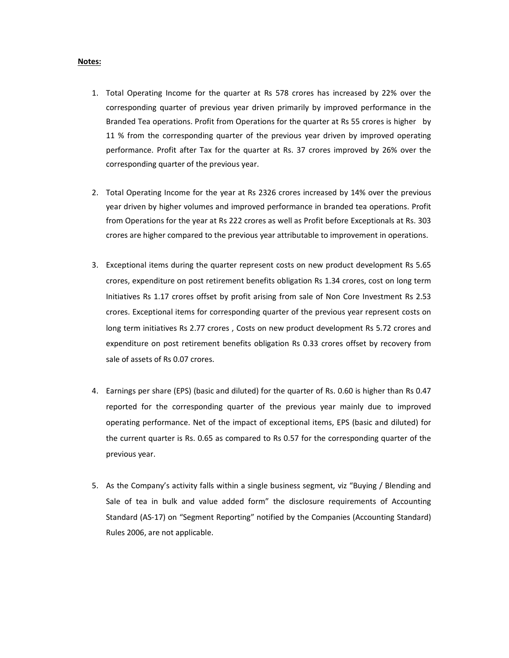### Notes:

- 1. Total Operating Income for the quarter at Rs 578 crores has increased by 22% over the corresponding quarter of previous year driven primarily by improved performance in the Branded Tea operations. Profit from Operations for the quarter at Rs 55 crores is higher by 11 % from the corresponding quarter of the previous year driven by improved operating performance. Profit after Tax for the quarter at Rs. 37 crores improved by 26% over the corresponding quarter of the previous year.
- 2. Total Operating Income for the year at Rs 2326 crores increased by 14% over the previous year driven by higher volumes and improved performance in branded tea operations. Profit from Operations for the year at Rs 222 crores as well as Profit before Exceptionals at Rs. 303 crores are higher compared to the previous year attributable to improvement in operations.
- 3. Exceptional items during the quarter represent costs on new product development Rs 5.65 crores, expenditure on post retirement benefits obligation Rs 1.34 crores, cost on long term Initiatives Rs 1.17 crores offset by profit arising from sale of Non Core Investment Rs 2.53 crores. Exceptional items for corresponding quarter of the previous year represent costs on long term initiatives Rs 2.77 crores , Costs on new product development Rs 5.72 crores and expenditure on post retirement benefits obligation Rs 0.33 crores offset by recovery from sale of assets of Rs 0.07 crores.
- 4. Earnings per share (EPS) (basic and diluted) for the quarter of Rs. 0.60 is higher than Rs 0.47 reported for the corresponding quarter of the previous year mainly due to improved operating performance. Net of the impact of exceptional items, EPS (basic and diluted) for the current quarter is Rs. 0.65 as compared to Rs 0.57 for the corresponding quarter of the previous year.
- 5. As the Company's activity falls within a single business segment, viz "Buying / Blending and Sale of tea in bulk and value added form" the disclosure requirements of Accounting Standard (AS-17) on "Segment Reporting" notified by the Companies (Accounting Standard) Rules 2006, are not applicable.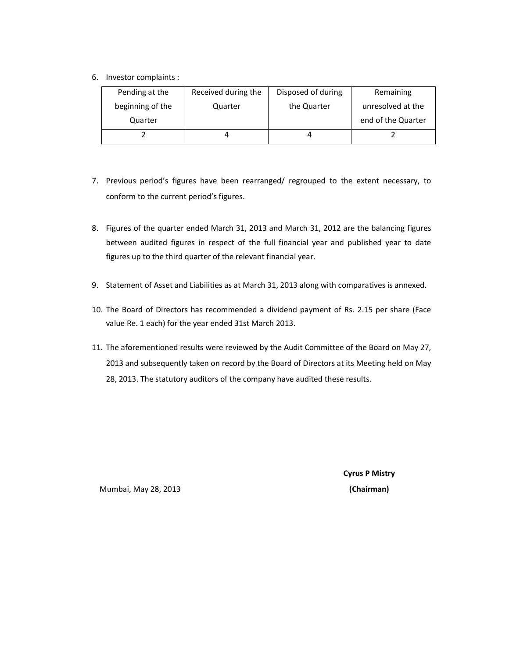6. Investor complaints :

| Pending at the   | Received during the | Disposed of during | Remaining          |
|------------------|---------------------|--------------------|--------------------|
| beginning of the | Quarter             | the Quarter        | unresolved at the  |
| Quarter          |                     |                    | end of the Quarter |
|                  | 4                   |                    |                    |

- 7. Previous period's figures have been rearranged/ regrouped to the extent necessary, to conform to the current period's figures.
- 8. Figures of the quarter ended March 31, 2013 and March 31, 2012 are the balancing figures between audited figures in respect of the full financial year and published year to date figures up to the third quarter of the relevant financial year.
- 9. Statement of Asset and Liabilities as at March 31, 2013 along with comparatives is annexed.
- 10. The Board of Directors has recommended a dividend payment of Rs. 2.15 per share (Face value Re. 1 each) for the year ended 31st March 2013.
- 11. The aforementioned results were reviewed by the Audit Committee of the Board on May 27, 2013 and subsequently taken on record by the Board of Directors at its Meeting held on May 28, 2013. The statutory auditors of the company have audited these results.

Cyrus P Mistry

Mumbai, May 28, 2013 (Chairman)